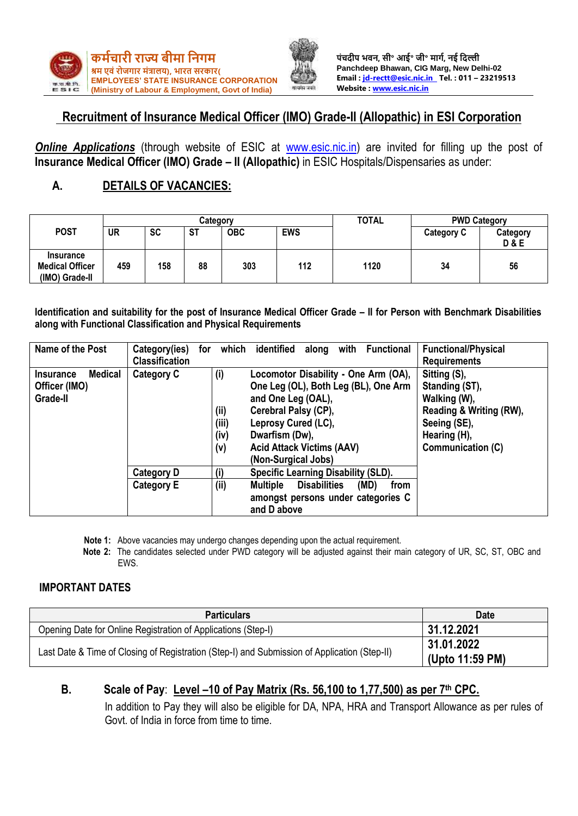



# **Recruitment of Insurance Medical Officer (IMO) Grade-II (Allopathic) in ESI Corporation**

**Online Applications** (through website of ESIC at [www.esic.nic.in\)](http://www.esic.nic.in/) are invited for filling up the post of **Insurance Medical Officer (IMO) Grade – II (Allopathic)** in ESIC Hospitals/Dispensaries as under:

# **A. DETAILS OF VACANCIES:**

|                                                              | Categorv  |           |           |            |            | <b>TOTAL</b> | <b>PWD Category</b> |                            |
|--------------------------------------------------------------|-----------|-----------|-----------|------------|------------|--------------|---------------------|----------------------------|
| <b>POST</b>                                                  | <b>UR</b> | <b>SC</b> | <b>ST</b> | <b>OBC</b> | <b>EWS</b> |              | <b>Category C</b>   | Category<br><b>D&amp;E</b> |
| <b>Insurance</b><br><b>Medical Officer</b><br>(IMO) Grade-II | 459       | 158       | 88        | 303        | 112        | 1120         | 34                  | 56                         |

**Identification and suitability for the post of Insurance Medical Officer Grade – II for Person with Benchmark Disabilities along with Functional Classification and Physical Requirements**

| Name of the Post                                         | Category(ies)<br><b>Classification</b> | for | which                               | <b>Functional/Physical</b><br>identified<br>with<br><b>Functional</b><br>along<br><b>Requirements</b>                                                                                                                                                                                                                                                            |
|----------------------------------------------------------|----------------------------------------|-----|-------------------------------------|------------------------------------------------------------------------------------------------------------------------------------------------------------------------------------------------------------------------------------------------------------------------------------------------------------------------------------------------------------------|
| Medical<br><b>Insurance</b><br>Officer (IMO)<br>Grade-II | <b>Category C</b>                      |     | (i)<br>(ii)<br>(iii)<br>(iv)<br>(v) | Sitting (S),<br>Locomotor Disability - One Arm (OA),<br>One Leg (OL), Both Leg (BL), One Arm<br>Standing (ST),<br>Walking (W),<br>and One Leg (OAL),<br>Cerebral Palsy (CP),<br>Reading & Writing (RW),<br>Leprosy Cured (LC),<br>Seeing (SE),<br>Hearing (H),<br>Dwarfism (Dw),<br><b>Acid Attack Victims (AAV)</b><br>Communication (C)<br>(Non-Surgical Jobs) |
|                                                          | <b>Category D</b><br><b>Category E</b> |     | (i)<br>(i)                          | <b>Specific Learning Disability (SLD).</b><br><b>Multiple</b><br><b>Disabilities</b><br>(MD)<br>from<br>amongst persons under categories C<br>and D above                                                                                                                                                                                                        |

**Note 1:** Above vacancies may undergo changes depending upon the actual requirement.

**Note 2:** The candidates selected under PWD category will be adjusted against their main category of UR, SC, ST, OBC and EWS.

### **IMPORTANT DATES**

| <b>Particulars</b>                                                                           | <b>Date</b>                   |
|----------------------------------------------------------------------------------------------|-------------------------------|
| Opening Date for Online Registration of Applications (Step-I)                                | 31.12.2021                    |
| Last Date & Time of Closing of Registration (Step-I) and Submission of Application (Step-II) | 31.01.2022<br>(Upto 11:59 PM) |

# **B. Scale of Pay**: **Level –10 of Pay Matrix (Rs. 56,100 to 1,77,500) as per 7th CPC.**

In addition to Pay they will also be eligible for DA, NPA, HRA and Transport Allowance as per rules of Govt. of India in force from time to time.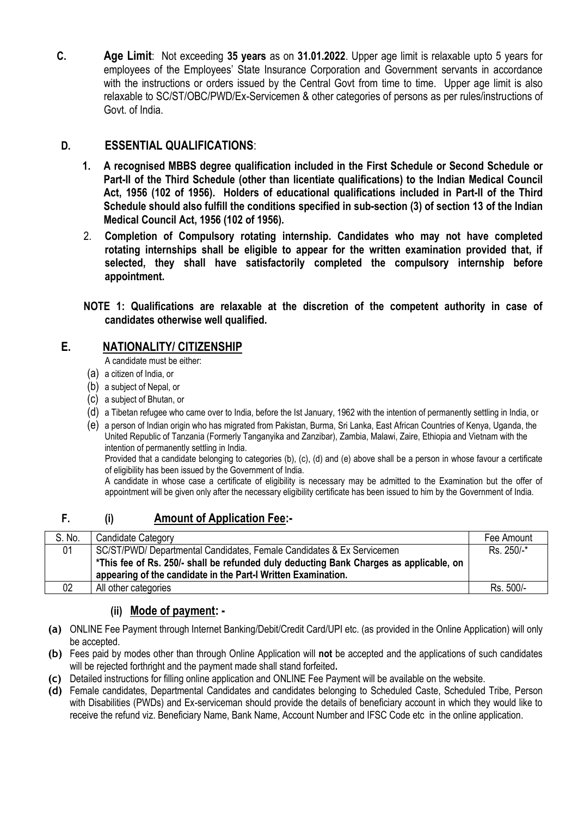**C. Age Limit**: Not exceeding **35 years** as on **31.01.2022**. Upper age limit is relaxable upto 5 years for employees of the Employees' State Insurance Corporation and Government servants in accordance with the instructions or orders issued by the Central Govt from time to time. Upper age limit is also relaxable to SC/ST/OBC/PWD/Ex-Servicemen & other categories of persons as per rules/instructions of Govt. of India.

## **D. ESSENTIAL QUALIFICATIONS**:

- **1. A recognised MBBS degree qualification included in the First Schedule or Second Schedule or Part-II of the Third Schedule (other than licentiate qualifications) to the Indian Medical Council Act, 1956 (102 of 1956). Holders of educational qualifications included in Part-II of the Third Schedule should also fulfill the conditions specified in sub-section (3) of section 13 of the Indian Medical Council Act, 1956 (102 of 1956).**
- 2. **Completion of Compulsory rotating internship. Candidates who may not have completed rotating internships shall be eligible to appear for the written examination provided that, if selected, they shall have satisfactorily completed the compulsory internship before appointment.**
- **NOTE 1: Qualifications are relaxable at the discretion of the competent authority in case of candidates otherwise well qualified.**

# **E. NATIONALITY/ CITIZENSHIP**

A candidate must be either:

- (a) a citizen of India, or
- (b) a subject of Nepal, or
- (c) a subject of Bhutan, or
- (d) a Tibetan refugee who came over to India, before the Ist January, 1962 with the intention of permanently settling in India, or
- (e) a person of Indian origin who has migrated from Pakistan, Burma, Sri Lanka, East African Countries of Kenya, Uganda, the United Republic of Tanzania (Formerly Tanganyika and Zanzibar), Zambia, Malawi, Zaire, Ethiopia and Vietnam with the intention of permanently settling in India.

Provided that a candidate belonging to categories (b), (c), (d) and (e) above shall be a person in whose favour a certificate of eligibility has been issued by the Government of India.

A candidate in whose case a certificate of eligibility is necessary may be admitted to the Examination but the offer of appointment will be given only after the necessary eligibility certificate has been issued to him by the Government of India.

# **F. (i) Amount of Application Fee:-**

| S. No. | Candidate Category                                                                     | Fee Amount |
|--------|----------------------------------------------------------------------------------------|------------|
| 01     | SC/ST/PWD/ Departmental Candidates, Female Candidates & Ex Servicemen                  | Rs. 250/-* |
|        | *This fee of Rs. 250/- shall be refunded duly deducting Bank Charges as applicable, on |            |
|        | appearing of the candidate in the Part-I Written Examination.                          |            |
| 02     | All other categories                                                                   | Rs. 500/-  |

## **(ii) Mode of payment: -**

- **(a)** ONLINE Fee Payment through Internet Banking/Debit/Credit Card/UPI etc. (as provided in the Online Application) will only be accepted.
- **(b)** Fees paid by modes other than through Online Application will **not** be accepted and the applications of such candidates will be rejected forthright and the payment made shall stand forfeited**.**
- **(c)** Detailed instructions for filling online application and ONLINE Fee Payment will be available on the website.
- **(d)** Female candidates, Departmental Candidates and candidates belonging to Scheduled Caste, Scheduled Tribe, Person with Disabilities (PWDs) and Ex-serviceman should provide the details of beneficiary account in which they would like to receive the refund viz. Beneficiary Name, Bank Name, Account Number and IFSC Code etc in the online application.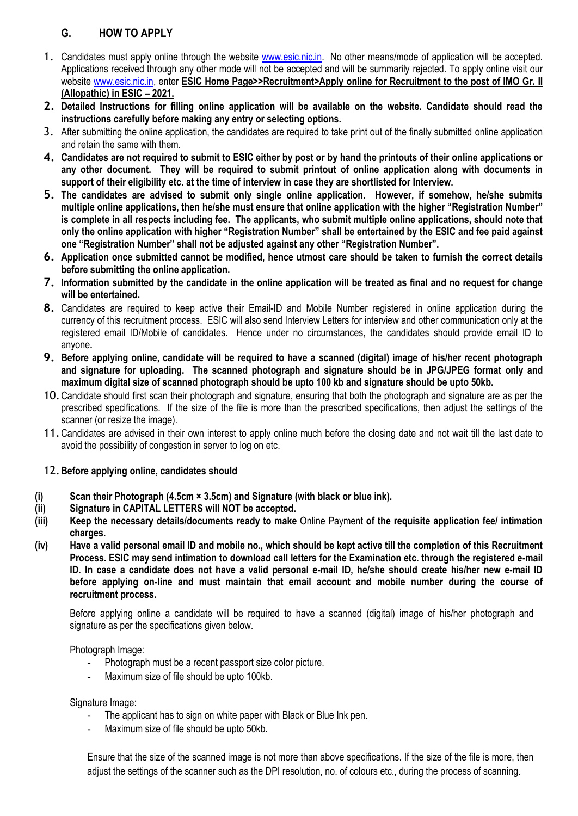# **G. HOW TO APPLY**

- 1. Candidates must apply online through the website [www.esic.nic.in.](http://www.esic.nic.in/) No other means/mode of application will be accepted. Applications received through any other mode will not be accepted and will be summarily rejected. To apply online visit our website [www.esic.nic.in,](http://www.esic.nic.in/) enter **ESIC Home Page>>Recruitment>Apply online for Recruitment to the post of IMO Gr. II (Allopathic) in ESIC – 2021.**
- **2. Detailed Instructions for filling online application will be available on the website. Candidate should read the instructions carefully before making any entry or selecting options.**
- 3. After submitting the online application, the candidates are required to take print out of the finally submitted online application and retain the same with them.
- **4. Candidates are not required to submit to ESIC either by post or by hand the printouts of their online applications or any other document. They will be required to submit printout of online application along with documents in support of their eligibility etc. at the time of interview in case they are shortlisted for Interview.**
- **5. The candidates are advised to submit only single online application. However, if somehow, he/she submits multiple online applications, then he/she must ensure that online application with the higher "Registration Number" is complete in all respects including fee. The applicants, who submit multiple online applications, should note that only the online application with higher "Registration Number" shall be entertained by the ESIC and fee paid against one "Registration Number" shall not be adjusted against any other "Registration Number".**
- **6. Application once submitted cannot be modified, hence utmost care should be taken to furnish the correct details before submitting the online application.**
- **7. Information submitted by the candidate in the online application will be treated as final and no request for change will be entertained.**
- **8.** Candidates are required to keep active their Email-ID and Mobile Number registered in online application during the currency of this recruitment process. ESIC will also send Interview Letters for interview and other communication only at the registered email ID/Mobile of candidates. Hence under no circumstances, the candidates should provide email ID to anyone**.**
- **9. Before applying online, candidate will be required to have a scanned (digital) image of his/her recent photograph and signature for uploading. The scanned photograph and signature should be in JPG/JPEG format only and maximum digital size of scanned photograph should be upto 100 kb and signature should be upto 50kb.**
- 10.Candidate should first scan their photograph and signature, ensuring that both the photograph and signature are as per the prescribed specifications. If the size of the file is more than the prescribed specifications, then adjust the settings of the scanner (or resize the image).
- 11.Candidates are advised in their own interest to apply online much before the closing date and not wait till the last date to avoid the possibility of congestion in server to log on etc.

### 12.**Before applying online, candidates should**

- **(i) Scan their Photograph (4.5cm × 3.5cm) and Signature (with black or blue ink).**
- **(ii) Signature in CAPITAL LETTERS will NOT be accepted.**
- **(iii) Keep the necessary details/documents ready to make** Online Payment **of the requisite application fee/ intimation charges.**
- **(iv) Have a valid personal email ID and mobile no., which should be kept active till the completion of this Recruitment Process. ESIC may send intimation to download call letters for the Examination etc. through the registered e-mail ID. In case a candidate does not have a valid personal e-mail ID, he/she should create his/her new e-mail ID before applying on-line and must maintain that email account and mobile number during the course of recruitment process.**

Before applying online a candidate will be required to have a scanned (digital) image of his/her photograph and signature as per the specifications given below.

Photograph Image:

- **-** Photograph must be a recent passport size color picture.
- **-** Maximum size of file should be upto 100kb.

Signature Image:

- **-** The applicant has to sign on white paper with Black or Blue Ink pen.
- **-** Maximum size of file should be upto 50kb.

Ensure that the size of the scanned image is not more than above specifications. If the size of the file is more, then adjust the settings of the scanner such as the DPI resolution, no. of colours etc., during the process of scanning.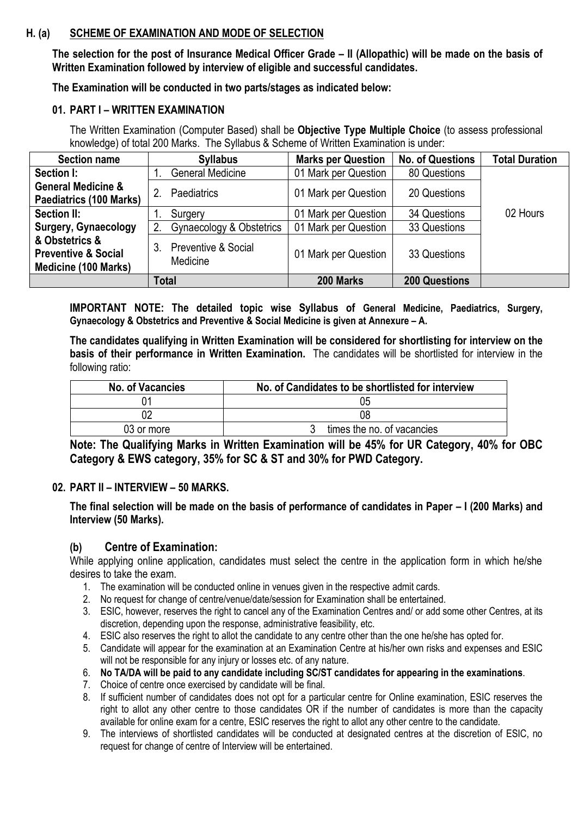### **H. (a) SCHEME OF EXAMINATION AND MODE OF SELECTION**

**The selection for the post of Insurance Medical Officer Grade – II (Allopathic) will be made on the basis of Written Examination followed by interview of eligible and successful candidates.** 

**The Examination will be conducted in two parts/stages as indicated below:**

#### **01. PART I – WRITTEN EXAMINATION**

The Written Examination (Computer Based) shall be **Objective Type Multiple Choice** (to assess professional knowledge) of total 200 Marks. The Syllabus & Scheme of Written Examination is under:

| <b>Section name</b>                                                             | <b>Syllabus</b>                       | <b>Marks per Question</b> | <b>No. of Questions</b> | <b>Total Duration</b> |
|---------------------------------------------------------------------------------|---------------------------------------|---------------------------|-------------------------|-----------------------|
| Section I:                                                                      | <b>General Medicine</b>               | 01 Mark per Question      | 80 Questions            |                       |
| <b>General Medicine &amp;</b><br>Paediatrics (100 Marks)                        | 2.<br><b>Paediatrics</b>              | 01 Mark per Question      | 20 Questions            |                       |
| Section II:                                                                     | Surgery                               | 01 Mark per Question      | 34 Questions            | 02 Hours              |
| Surgery, Gynaecology                                                            | Gynaecology & Obstetrics              | 01 Mark per Question      | 33 Questions            |                       |
| & Obstetrics &<br><b>Preventive &amp; Social</b><br><b>Medicine (100 Marks)</b> | Preventive & Social<br>3.<br>Medicine | 01 Mark per Question      | 33 Questions            |                       |
|                                                                                 | <b>Total</b>                          | 200 Marks                 | <b>200 Questions</b>    |                       |

**IMPORTANT NOTE: The detailed topic wise Syllabus of General Medicine, Paediatrics, Surgery, Gynaecology & Obstetrics and Preventive & Social Medicine is given at Annexure – A.**

**The candidates qualifying in Written Examination will be considered for shortlisting for interview on the basis of their performance in Written Examination.** The candidates will be shortlisted for interview in the following ratio:

| No. of Vacancies | No. of Candidates to be shortlisted for interview |
|------------------|---------------------------------------------------|
|                  | 05                                                |
|                  | 08                                                |
| 03 or more       | times the no. of vacancies                        |

**Note: The Qualifying Marks in Written Examination will be 45% for UR Category, 40% for OBC Category & EWS category, 35% for SC & ST and 30% for PWD Category.**

### **02. PART II – INTERVIEW – 50 MARKS.**

**The final selection will be made on the basis of performance of candidates in Paper – I (200 Marks) and Interview (50 Marks).**

### **(b) Centre of Examination:**

While applying online application, candidates must select the centre in the application form in which he/she desires to take the exam.

- 1. The examination will be conducted online in venues given in the respective admit cards.
- 2. No request for change of centre/venue/date/session for Examination shall be entertained.
- 3. ESIC, however, reserves the right to cancel any of the Examination Centres and/ or add some other Centres, at its discretion, depending upon the response, administrative feasibility, etc.
- 4. ESIC also reserves the right to allot the candidate to any centre other than the one he/she has opted for.
- 5. Candidate will appear for the examination at an Examination Centre at his/her own risks and expenses and ESIC will not be responsible for any injury or losses etc. of any nature.
- 6. **No TA/DA will be paid to any candidate including SC/ST candidates for appearing in the examinations**.
- 7. Choice of centre once exercised by candidate will be final.
- 8. If sufficient number of candidates does not opt for a particular centre for Online examination, ESIC reserves the right to allot any other centre to those candidates OR if the number of candidates is more than the capacity available for online exam for a centre, ESIC reserves the right to allot any other centre to the candidate.
- 9. The interviews of shortlisted candidates will be conducted at designated centres at the discretion of ESIC, no request for change of centre of Interview will be entertained.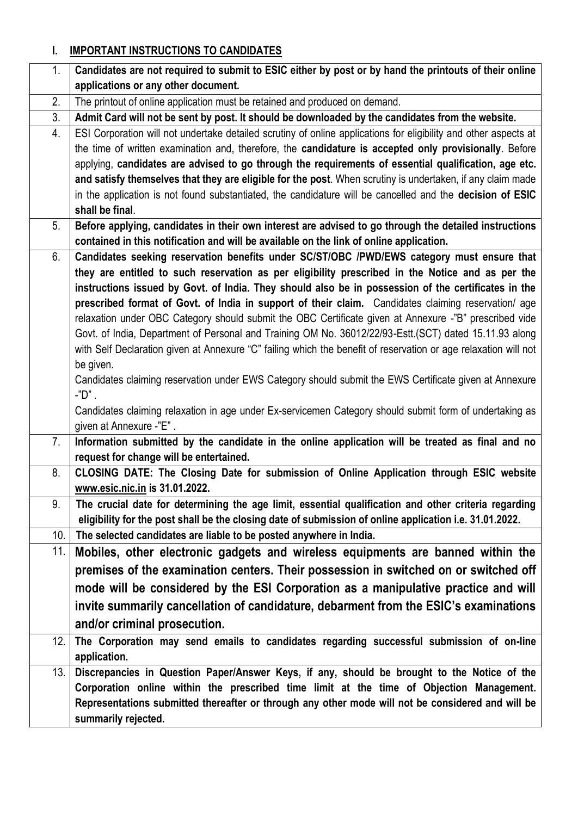# **I. IMPORTANT INSTRUCTIONS TO CANDIDATES**

| 1.  | Candidates are not required to submit to ESIC either by post or by hand the printouts of their online                                                                                 |
|-----|---------------------------------------------------------------------------------------------------------------------------------------------------------------------------------------|
|     | applications or any other document.                                                                                                                                                   |
| 2.  | The printout of online application must be retained and produced on demand.                                                                                                           |
| 3.  | Admit Card will not be sent by post. It should be downloaded by the candidates from the website.                                                                                      |
| 4.  | ESI Corporation will not undertake detailed scrutiny of online applications for eligibility and other aspects at                                                                      |
|     | the time of written examination and, therefore, the candidature is accepted only provisionally. Before                                                                                |
|     | applying, candidates are advised to go through the requirements of essential qualification, age etc.                                                                                  |
|     | and satisfy themselves that they are eligible for the post. When scrutiny is undertaken, if any claim made                                                                            |
|     | in the application is not found substantiated, the candidature will be cancelled and the decision of ESIC                                                                             |
|     | shall be final.                                                                                                                                                                       |
| 5.  | Before applying, candidates in their own interest are advised to go through the detailed instructions                                                                                 |
| 6.  | contained in this notification and will be available on the link of online application.<br>Candidates seeking reservation benefits under SC/ST/OBC /PWD/EWS category must ensure that |
|     | they are entitled to such reservation as per eligibility prescribed in the Notice and as per the                                                                                      |
|     | instructions issued by Govt. of India. They should also be in possession of the certificates in the                                                                                   |
|     | prescribed format of Govt. of India in support of their claim. Candidates claiming reservation/ age                                                                                   |
|     | relaxation under OBC Category should submit the OBC Certificate given at Annexure -"B" prescribed vide                                                                                |
|     | Govt. of India, Department of Personal and Training OM No. 36012/22/93-Estt. (SCT) dated 15.11.93 along                                                                               |
|     | with Self Declaration given at Annexure "C" failing which the benefit of reservation or age relaxation will not                                                                       |
|     | be given.                                                                                                                                                                             |
|     | Candidates claiming reservation under EWS Category should submit the EWS Certificate given at Annexure                                                                                |
|     | $-$ "D" .                                                                                                                                                                             |
|     | Candidates claiming relaxation in age under Ex-servicemen Category should submit form of undertaking as                                                                               |
|     | given at Annexure -"E".                                                                                                                                                               |
| 7.  | Information submitted by the candidate in the online application will be treated as final and no                                                                                      |
|     | request for change will be entertained.                                                                                                                                               |
| 8.  | CLOSING DATE: The Closing Date for submission of Online Application through ESIC website<br>www.esic.nic.in is 31.01.2022.                                                            |
| 9.  | The crucial date for determining the age limit, essential qualification and other criteria regarding                                                                                  |
|     | eligibility for the post shall be the closing date of submission of online application i.e. 31.01.2022.                                                                               |
| 10. | The selected candidates are liable to be posted anywhere in India.                                                                                                                    |
| 11. | Mobiles, other electronic gadgets and wireless equipments are banned within the                                                                                                       |
|     | premises of the examination centers. Their possession in switched on or switched off                                                                                                  |
|     | mode will be considered by the ESI Corporation as a manipulative practice and will                                                                                                    |
|     | invite summarily cancellation of candidature, debarment from the ESIC's examinations                                                                                                  |
|     | and/or criminal prosecution.                                                                                                                                                          |
| 12. | The Corporation may send emails to candidates regarding successful submission of on-line                                                                                              |
|     | application.                                                                                                                                                                          |
| 13. | Discrepancies in Question Paper/Answer Keys, if any, should be brought to the Notice of the                                                                                           |
|     | Corporation online within the prescribed time limit at the time of Objection Management.                                                                                              |
|     | Representations submitted thereafter or through any other mode will not be considered and will be                                                                                     |
|     | summarily rejected.                                                                                                                                                                   |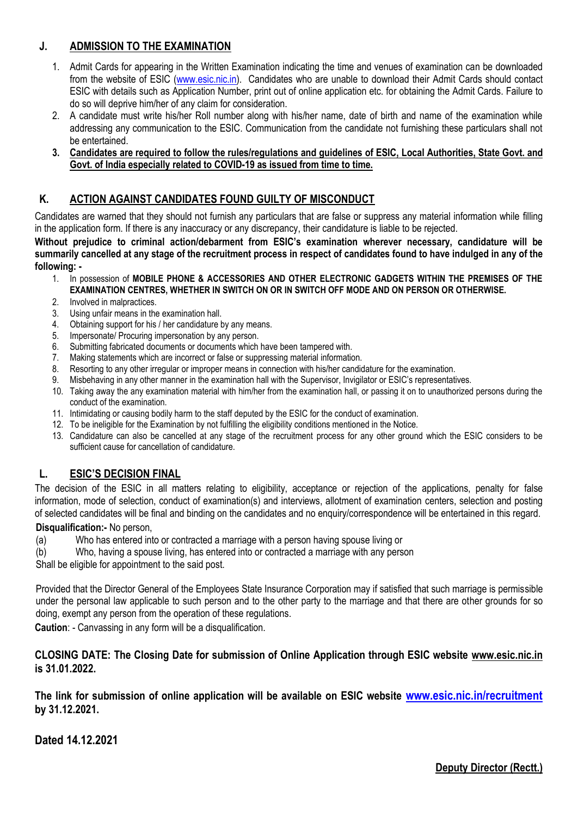## **J. ADMISSION TO THE EXAMINATION**

- 1. Admit Cards for appearing in the Written Examination indicating the time and venues of examination can be downloaded from the website of ESIC [\(www.esic.nic.in\)](http://www.esic.nic.in/). Candidates who are unable to download their Admit Cards should contact ESIC with details such as Application Number, print out of online application etc. for obtaining the Admit Cards. Failure to do so will deprive him/her of any claim for consideration.
- 2. A candidate must write his/her Roll number along with his/her name, date of birth and name of the examination while addressing any communication to the ESIC. Communication from the candidate not furnishing these particulars shall not be entertained.

#### **3. Candidates are required to follow the rules/regulations and guidelines of ESIC, Local Authorities, State Govt. and Govt. of India especially related to COVID-19 as issued from time to time.**

## **K. ACTION AGAINST CANDIDATES FOUND GUILTY OF MISCONDUCT**

Candidates are warned that they should not furnish any particulars that are false or suppress any material information while filling in the application form. If there is any inaccuracy or any discrepancy, their candidature is liable to be rejected.

**Without prejudice to criminal action/debarment from ESIC's examination wherever necessary, candidature will be summarily cancelled at any stage of the recruitment process in respect of candidates found to have indulged in any of the following: -**

- 1. In possession of **MOBILE PHONE & ACCESSORIES AND OTHER ELECTRONIC GADGETS WITHIN THE PREMISES OF THE EXAMINATION CENTRES, WHETHER IN SWITCH ON OR IN SWITCH OFF MODE AND ON PERSON OR OTHERWISE.**
- 2. Involved in malpractices.
- 3. Using unfair means in the examination hall.
- 4. Obtaining support for his / her candidature by any means.
- 5. Impersonate/ Procuring impersonation by any person.
- 6. Submitting fabricated documents or documents which have been tampered with.
- 7. Making statements which are incorrect or false or suppressing material information.
- 8. Resorting to any other irregular or improper means in connection with his/her candidature for the examination.
- 9. Misbehaving in any other manner in the examination hall with the Supervisor, Invigilator or ESIC's representatives.
- 10. Taking away the any examination material with him/her from the examination hall, or passing it on to unauthorized persons during the conduct of the examination.
- 11. Intimidating or causing bodily harm to the staff deputed by the ESIC for the conduct of examination.
- 12. To be ineligible for the Examination by not fulfilling the eligibility conditions mentioned in the Notice.
- 13. Candidature can also be cancelled at any stage of the recruitment process for any other ground which the ESIC considers to be sufficient cause for cancellation of candidature.

### **L. ESIC'S DECISION FINAL**

The decision of the ESIC in all matters relating to eligibility, acceptance or rejection of the applications, penalty for false information, mode of selection, conduct of examination(s) and interviews, allotment of examination centers, selection and posting of selected candidates will be final and binding on the candidates and no enquiry/correspondence will be entertained in this regard.

#### **Disqualification:-** No person,

(a) Who has entered into or contracted a marriage with a person having spouse living or

(b) Who, having a spouse living, has entered into or contracted a marriage with any person

Shall be eligible for appointment to the said post.

Provided that the Director General of the Employees State Insurance Corporation may if satisfied that such marriage is permissible under the personal law applicable to such person and to the other party to the marriage and that there are other grounds for so doing, exempt any person from the operation of these regulations.

**Caution**: - Canvassing in any form will be a disqualification.

#### **CLOSING DATE: The Closing Date for submission of Online Application through ESIC website [www.esic.nic.in](http://www.esic.nic.in/) is 31.01.2022.**

**The link for submission of online application will be available on ESIC website [www.esic.nic.in/recruitment](http://www.esic.nic.in/recruitment) by 31.12.2021.**

**Dated 14.12.2021**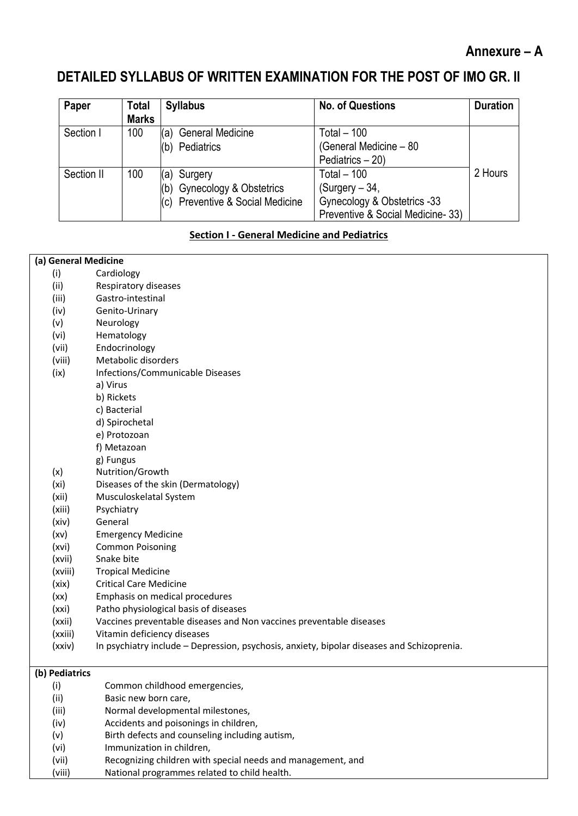# **Annexure – A**

# **DETAILED SYLLABUS OF WRITTEN EXAMINATION FOR THE POST OF IMO GR. II**

| Paper      | Total<br><b>Marks</b> | <b>Syllabus</b>                                                                | <b>No. of Questions</b>                                                                             | <b>Duration</b> |
|------------|-----------------------|--------------------------------------------------------------------------------|-----------------------------------------------------------------------------------------------------|-----------------|
| Section I  | 100                   | (a) General Medicine<br>(b) Pediatrics                                         | Total $-100$<br>(General Medicine - 80<br>Pediatrics - 20)                                          |                 |
| Section II | 100                   | (a) Surgery<br>(b) Gynecology & Obstetrics<br>(c) Preventive & Social Medicine | Total $-100$<br>$(Surgery - 34,$<br>Gynecology & Obstetrics -33<br>Preventive & Social Medicine-33) | 2 Hours         |

#### **Section I - General Medicine and Pediatrics**

#### **(a) General Medicine**

- (i) Cardiology
- (ii) Respiratory diseases (iii) Gastro-intestinal
- (iv) Genito-Urinary
- (v) Neurology
- (vi) Hematology
- (vii) Endocrinology
- (viii) Metabolic disorders
- (ix) Infections/Communicable Diseases
	- a) Virus
	- b) Rickets
		- c) Bacterial
		- d) Spirochetal
	- e) Protozoan
	- f) Metazoan
	- g) Fungus
- (x) Nutrition/Growth
- (xi) Diseases of the skin (Dermatology)
- (xii) Musculoskelatal System
- (xiii) Psychiatry
- (xiv) General
- (xv) Emergency Medicine
- (xvi) Common Poisoning
- (xvii) Snake bite
- (xviii) Tropical Medicine
- (xix) Critical Care Medicine
- (xx) Emphasis on medical procedures
- (xxi) Patho physiological basis of diseases
- (xxii) Vaccines preventable diseases and Non vaccines preventable diseases
- (xxiii) Vitamin deficiency diseases
- (xxiv) In psychiatry include Depression, psychosis, anxiety, bipolar diseases and Schizoprenia.

#### **(b) Pediatrics**

- (i) Common childhood emergencies, (ii) Basic new born care, (iii) Normal developmental milestones, (iv) Accidents and poisonings in children, (v) Birth defects and counseling including autism, (vi) Immunization in children, (vii) Recognizing children with special needs and management, and
- 
- (viii) National programmes related to child health.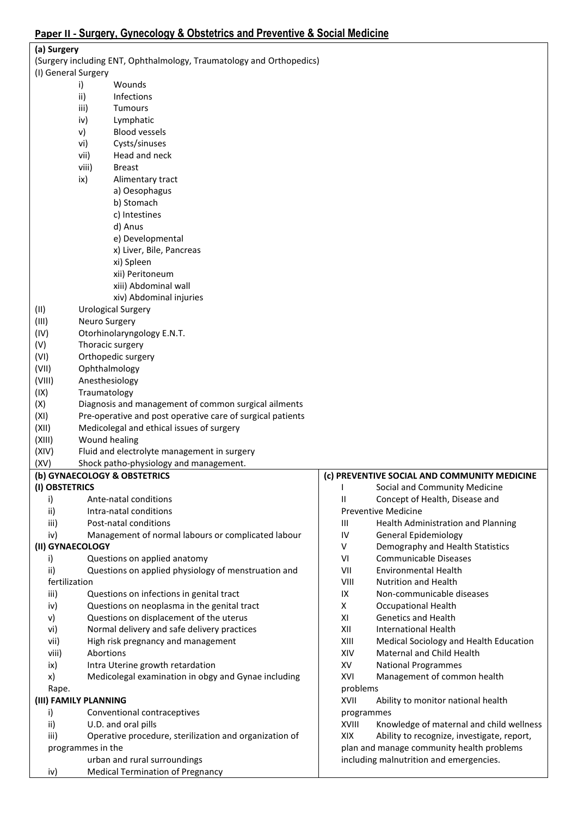| (a) Surgery           |                   |                                                                      |          |                                              |
|-----------------------|-------------------|----------------------------------------------------------------------|----------|----------------------------------------------|
|                       |                   | (Surgery including ENT, Ophthalmology, Traumatology and Orthopedics) |          |                                              |
| (I) General Surgery   |                   |                                                                      |          |                                              |
|                       | i)                | Wounds                                                               |          |                                              |
|                       | ii)               | Infections                                                           |          |                                              |
|                       | iii)              | <b>Tumours</b>                                                       |          |                                              |
|                       | iv)               | Lymphatic                                                            |          |                                              |
|                       | v)                | <b>Blood vessels</b>                                                 |          |                                              |
|                       | vi)               | Cysts/sinuses                                                        |          |                                              |
|                       | vii)              | Head and neck                                                        |          |                                              |
|                       | viii)             | <b>Breast</b>                                                        |          |                                              |
|                       | ix)               | Alimentary tract                                                     |          |                                              |
|                       |                   | a) Oesophagus                                                        |          |                                              |
|                       |                   | b) Stomach                                                           |          |                                              |
|                       |                   | c) Intestines                                                        |          |                                              |
|                       |                   | d) Anus                                                              |          |                                              |
|                       |                   | e) Developmental                                                     |          |                                              |
|                       |                   | x) Liver, Bile, Pancreas                                             |          |                                              |
|                       |                   | xi) Spleen                                                           |          |                                              |
|                       |                   | xii) Peritoneum                                                      |          |                                              |
|                       |                   | xiii) Abdominal wall                                                 |          |                                              |
|                       |                   | xiv) Abdominal injuries                                              |          |                                              |
| (11)                  |                   | <b>Urological Surgery</b>                                            |          |                                              |
| (III)                 | Neuro Surgery     |                                                                      |          |                                              |
| (IV)                  |                   | Otorhinolaryngology E.N.T.                                           |          |                                              |
| (V)                   |                   | Thoracic surgery                                                     |          |                                              |
| (VI)                  |                   | Orthopedic surgery                                                   |          |                                              |
| (VII)                 | Ophthalmology     |                                                                      |          |                                              |
| (VIII)                | Anesthesiology    |                                                                      |          |                                              |
| (IX)                  | Traumatology      |                                                                      |          |                                              |
| (X)                   |                   | Diagnosis and management of common surgical ailments                 |          |                                              |
| (XI)                  |                   | Pre-operative and post operative care of surgical patients           |          |                                              |
| (XII)                 |                   | Medicolegal and ethical issues of surgery                            |          |                                              |
| (XIII)                | Wound healing     |                                                                      |          |                                              |
| (XIV)                 |                   | Fluid and electrolyte management in surgery                          |          |                                              |
| (XV)                  |                   | Shock patho-physiology and management.                               |          |                                              |
|                       |                   | (b) GYNAECOLOGY & OBSTETRICS                                         |          | (c) PREVENTIVE SOCIAL AND COMMUNITY MEDICINE |
| (I) OBSTETRICS        |                   |                                                                      |          | Social and Community Medicine                |
| i)                    |                   | Ante-natal conditions                                                | Ш        | Concept of Health, Disease and               |
| ii)                   |                   | Intra-natal conditions                                               |          | <b>Preventive Medicine</b>                   |
| iii)                  |                   | Post-natal conditions                                                | Ш        | Health Administration and Planning           |
| iv)                   |                   | Management of normal labours or complicated labour                   | IV       | <b>General Epidemiology</b>                  |
| (II) GYNAECOLOGY      |                   |                                                                      | V        | Demography and Health Statistics             |
| i)                    |                   | Questions on applied anatomy                                         | VI       | <b>Communicable Diseases</b>                 |
| ii)                   |                   | Questions on applied physiology of menstruation and                  | VII      | <b>Environmental Health</b>                  |
| fertilization         |                   |                                                                      | VIII     | Nutrition and Health                         |
| iii)                  |                   | Questions on infections in genital tract                             | IX       | Non-communicable diseases                    |
| iv)                   |                   | Questions on neoplasma in the genital tract                          | X        | <b>Occupational Health</b>                   |
| V)                    |                   | Questions on displacement of the uterus                              | XI       | <b>Genetics and Health</b>                   |
| vi)                   |                   | Normal delivery and safe delivery practices                          | XII      | <b>International Health</b>                  |
| vii)                  |                   | High risk pregnancy and management                                   | XIII     | Medical Sociology and Health Education       |
| viii)                 | Abortions         |                                                                      | XIV      | Maternal and Child Health                    |
| ix)                   |                   | Intra Uterine growth retardation                                     | XV       | <b>National Programmes</b>                   |
| x)                    |                   | Medicolegal examination in obgy and Gynae including                  | XVI      | Management of common health                  |
| Rape.                 |                   |                                                                      | problems |                                              |
| (III) FAMILY PLANNING |                   |                                                                      | XVII     | Ability to monitor national health           |
| i)                    |                   | Conventional contraceptives                                          |          | programmes                                   |
| ii)                   |                   | U.D. and oral pills                                                  | XVIII    | Knowledge of maternal and child wellness     |
| iii)                  |                   | Operative procedure, sterilization and organization of               | XIX      | Ability to recognize, investigate, report,   |
|                       | programmes in the |                                                                      |          | plan and manage community health problems    |
|                       |                   | urban and rural surroundings                                         |          | including malnutrition and emergencies.      |
| iv)                   |                   | <b>Medical Termination of Pregnancy</b>                              |          |                                              |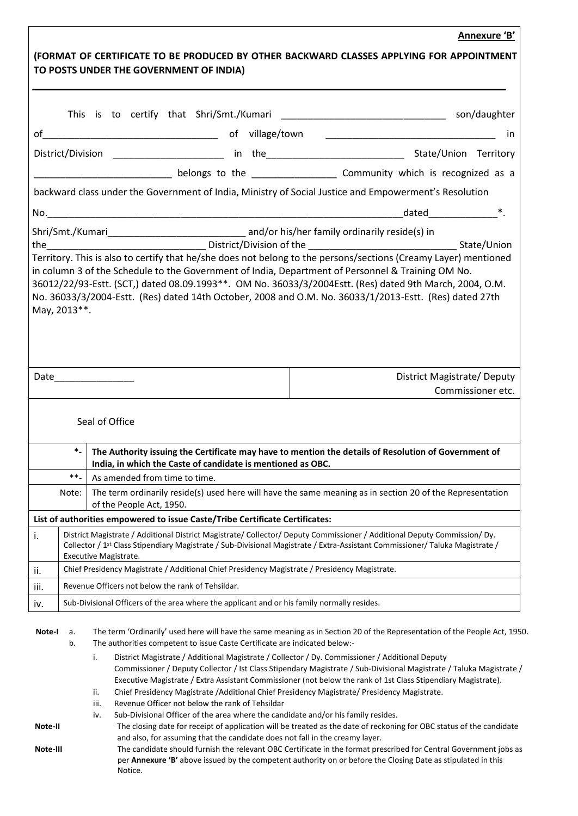# **Annexure 'B' (FORMAT OF CERTIFICATE TO BE PRODUCED BY OTHER BACKWARD CLASSES APPLYING FOR APPOINTMENT TO POSTS UNDER THE GOVERNMENT OF INDIA)**  This is to certify that Shri/Smt./Kumari **Example 2018** Son/daughter of\_\_\_\_\_\_\_\_\_\_\_\_\_\_\_\_\_\_\_\_\_\_\_\_\_\_\_\_\_\_\_\_\_ of village/town \_\_\_\_\_\_\_\_\_\_\_\_\_\_\_\_\_\_\_\_\_\_\_\_\_\_\_\_\_\_\_\_ in District/Division \_\_\_\_\_\_\_\_\_\_\_\_\_\_\_\_\_\_\_\_\_\_\_\_\_\_ in the\_\_\_\_\_\_\_\_\_\_\_\_\_\_\_\_\_\_\_\_\_\_\_\_\_\_\_\_\_\_\_State/Union Territory belongs to the **EXEC ENECT COMMUNITY** which is recognized as a backward class under the Government of India, Ministry of Social Justice and Empowerment's Resolution No.\_\_\_\_\_\_\_\_\_\_\_\_\_\_\_\_\_\_\_\_\_\_\_\_\_\_\_\_\_\_\_\_\_\_\_\_\_\_\_\_\_\_\_\_\_\_\_\_\_\_\_\_\_\_\_\_\_\_\_\_\_\_\_\_\_\_\_dated\_\_\_\_\_\_\_\_\_\_\_\_\_\*. Shri/Smt./Kumari\_\_\_\_\_\_\_\_\_\_\_\_\_\_\_\_\_\_\_\_\_\_\_\_\_\_ and/or his/her family ordinarily reside(s) in the the contract of the contract District/Division of the contract of the state/Union Territory. This is also to certify that he/she does not belong to the persons/sections (Creamy Layer) mentioned in column 3 of the Schedule to the Government of India, Department of Personnel & Training OM No. 36012/22/93-Estt. (SCT,) dated 08.09.1993\*\*. OM No. 36033/3/2004Estt. (Res) dated 9th March, 2004, O.M. No. 36033/3/2004-Estt. (Res) dated 14th October, 2008 and O.M. No. 36033/1/2013-Estt. (Res) dated 27th May, 2013\*\*. Date **Date District Magistrate/ Deputy** Commissioner etc. Seal of Office **\*- The Authority issuing the Certificate may have to mention the details of Resolution of Government of India, in which the Caste of candidate is mentioned as OBC.**   $**-$  As amended from time to time. Note: The term ordinarily reside(s) used here will have the same meaning as in section 20 of the Representation of the People Act, 1950. **List of authorities empowered to issue Caste/Tribe Certificate Certificates:** i. District Magistrate / Additional District Magistrate/ Collector/ Deputy Commissioner / Additional Deputy Commission/ Dy. Collector / 1st Class Stipendiary Magistrate / Sub-Divisional Magistrate / Extra-Assistant Commissioner/ Taluka Magistrate / Executive Magistrate. ii. Chief Presidency Magistrate / Additional Chief Presidency Magistrate / Presidency Magistrate.  $\overline{\mathbf{ii}}$ . Revenue Officers not below the rank of Tehsildar.  $iv.$  Sub-Divisional Officers of the area where the applicant and or his family normally resides. **Note-I** a. The term 'Ordinarily' used here will have the same meaning as in Section 20 of the Representation of the People Act, 1950. b. The authorities competent to issue Caste Certificate are indicated below: i. District Magistrate / Additional Magistrate / Collector / Dy. Commissioner / Additional Deputy Commissioner / Deputy Collector / Ist Class Stipendary Magistrate / Sub-Divisional Magistrate / Taluka Magistrate / Executive Magistrate / Extra Assistant Commissioner (not below the rank of 1st Class Stipendiary Magistrate). ii. Chief Presidency Magistrate /Additional Chief Presidency Magistrate/ Presidency Magistrate. iii. Revenue Officer not below the rank of Tehsildar iv. Sub-Divisional Officer of the area where the candidate and/or his family resides. **Note-II** The closing date for receipt of application will be treated as the date of reckoning for OBC status of the candidate and also, for assuming that the candidate does not fall in the creamy layer.

**Note-III** The candidate should furnish the relevant OBC Certificate in the format prescribed for Central Government jobs as per **Annexure 'B'** above issued by the competent authority on or before the Closing Date as stipulated in this Notice.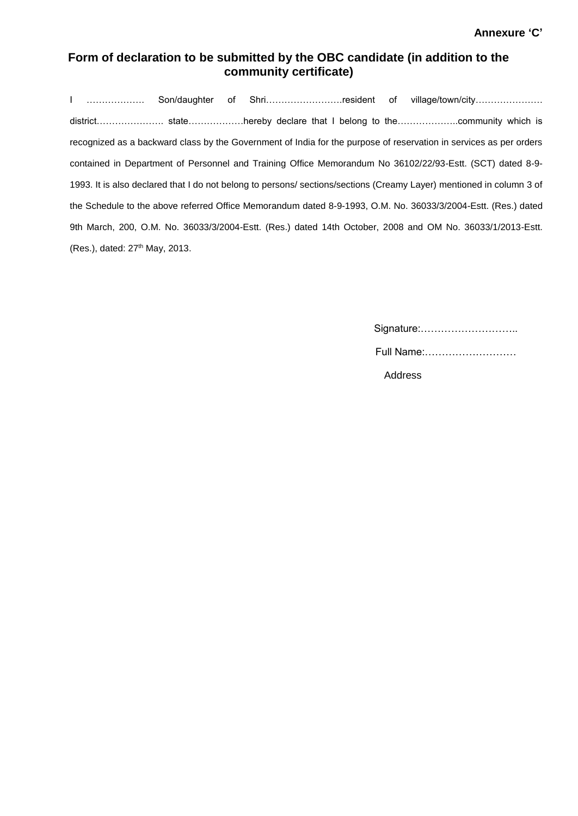## **Form of declaration to be submitted by the OBC candidate (in addition to the community certificate)**

I ………………. Son/daughter of Shri…………………….resident of village/town/city…………………. district…………………. state………………hereby declare that I belong to the………………..community which is recognized as a backward class by the Government of India for the purpose of reservation in services as per orders contained in Department of Personnel and Training Office Memorandum No 36102/22/93-Estt. (SCT) dated 8-9- 1993. It is also declared that I do not belong to persons/ sections/sections (Creamy Layer) mentioned in column 3 of the Schedule to the above referred Office Memorandum dated 8-9-1993, O.M. No. 36033/3/2004-Estt. (Res.) dated 9th March, 200, O.M. No. 36033/3/2004-Estt. (Res.) dated 14th October, 2008 and OM No. 36033/1/2013-Estt. (Res.), dated: 27<sup>th</sup> May, 2013.

| Signature: |  |
|------------|--|
| Full Name: |  |
| Address    |  |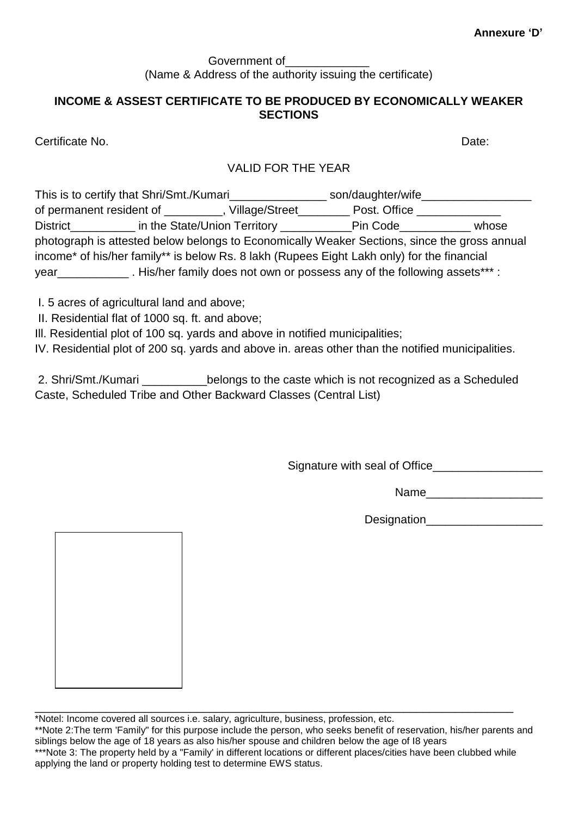#### Government of (Name & Address of the authority issuing the certificate)

## **INCOME & ASSEST CERTIFICATE TO BE PRODUCED BY ECONOMICALLY WEAKER SECTIONS**

Certificate No. Date:

## VALID FOR THE YEAR

| This is to certify that Shri/Smt./Kumari                                 |                | son/daughter/wife                                                                            |       |
|--------------------------------------------------------------------------|----------------|----------------------------------------------------------------------------------------------|-------|
| of permanent resident of _________                                       | Village/Street | Post. Office                                                                                 |       |
| District in the State/Union Territory Contains the State/Union Territory |                | Pin Code                                                                                     | whose |
|                                                                          |                | photograph is attested below belongs to Economically Weaker Sections, since the gross annual |       |
|                                                                          |                | income* of his/her family** is below Rs. 8 lakh (Rupees Eight Lakh only) for the financial   |       |
| year_                                                                    |                | . His/her family does not own or possess any of the following assets*** :                    |       |
|                                                                          |                |                                                                                              |       |

- I. 5 acres of agricultural land and above;
- II. Residential flat of 1000 sq. ft. and above;

Ill. Residential plot of 100 sq. yards and above in notified municipalities;

IV. Residential plot of 200 sq. yards and above in. areas other than the notified municipalities.

2. Shri/Smt./Kumari \_\_\_\_\_\_\_\_\_\_belongs to the caste which is not recognized as a Scheduled Caste, Scheduled Tribe and Other Backward Classes (Central List)

Signature with seal of Office\_\_\_\_\_\_\_\_\_\_\_\_\_\_\_\_\_

Name\_\_\_\_\_\_\_\_\_\_\_\_\_\_\_\_\_\_

Designation\_\_\_\_\_\_\_\_\_\_\_\_\_\_\_\_\_\_

\_\_\_\_\_\_\_\_\_\_\_\_\_\_\_\_\_\_\_\_\_\_\_\_\_\_\_\_\_\_\_\_\_\_\_\_\_\_\_\_\_\_\_\_\_\_\_\_\_\_\_\_\_\_\_\_\_\_\_\_\_\_\_\_\_\_\_\_\_\_\_\_\_\_ \*Notel: Income covered all sources i.e. salary, agriculture, business, profession, etc. \*\*Note 2:The term 'Family" for this purpose include the person, who seeks benefit of reservation, his/her parents and siblings below the age of 18 years as also his/her spouse and children below the age of I8 years \*\*\*Note 3: The property held by a "Family' in different locations or different places/cities have been clubbed while applying the land or property holding test to determine EWS status.